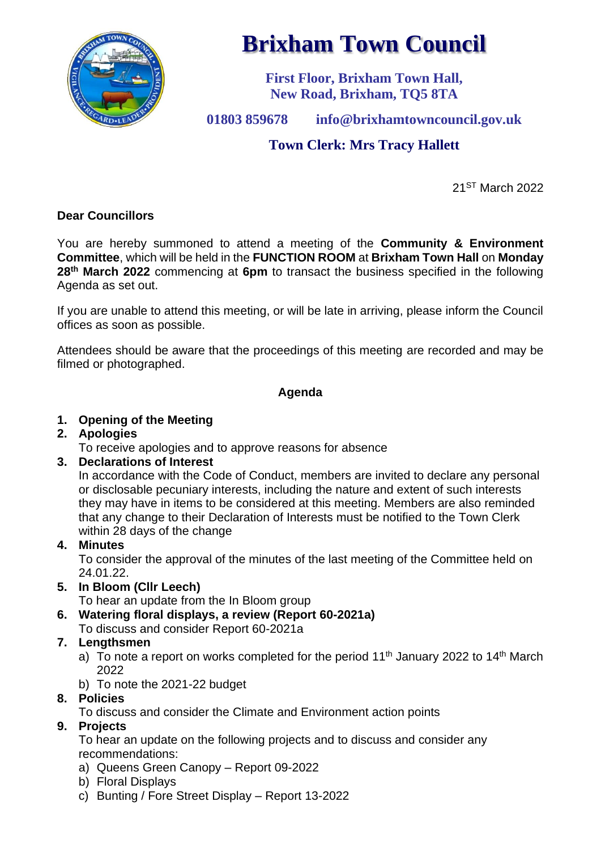

# **Brixham Town Council**

**First Floor, Brixham Town Hall, New Road, Brixham, TQ5 8TA**

**01803 859678 info@brixhamtowncouncil.gov.uk**

# **Town Clerk: Mrs Tracy Hallett**

21ST March 2022

## **Dear Councillors**

You are hereby summoned to attend a meeting of the **Community & Environment Committee**, which will be held in the **FUNCTION ROOM** at **Brixham Town Hall** on **Monday 28 th March 2022** commencing at **6pm** to transact the business specified in the following Agenda as set out.

If you are unable to attend this meeting, or will be late in arriving, please inform the Council offices as soon as possible.

Attendees should be aware that the proceedings of this meeting are recorded and may be filmed or photographed.

### **Agenda**

## **1. Opening of the Meeting**

### **2. Apologies**

To receive apologies and to approve reasons for absence

### **3. Declarations of Interest**

In accordance with the Code of Conduct, members are invited to declare any personal or disclosable pecuniary interests, including the nature and extent of such interests they may have in items to be considered at this meeting. Members are also reminded that any change to their Declaration of Interests must be notified to the Town Clerk within 28 days of the change

### **4. Minutes**

To consider the approval of the minutes of the last meeting of the Committee held on 24.01.22.

# **5. In Bloom (Cllr Leech)**

To hear an update from the In Bloom group

**6. Watering floral displays, a review (Report 60-2021a)**

To discuss and consider Report 60-2021a

# **7. Lengthsmen**

- a) To note a report on works completed for the period 11<sup>th</sup> January 2022 to 14<sup>th</sup> March 2022
- b) To note the 2021-22 budget

# **8. Policies**

To discuss and consider the Climate and Environment action points

# **9. Projects**

To hear an update on the following projects and to discuss and consider any recommendations:

- a) Queens Green Canopy Report 09-2022
- b) Floral Displays
- c) Bunting / Fore Street Display Report 13-2022